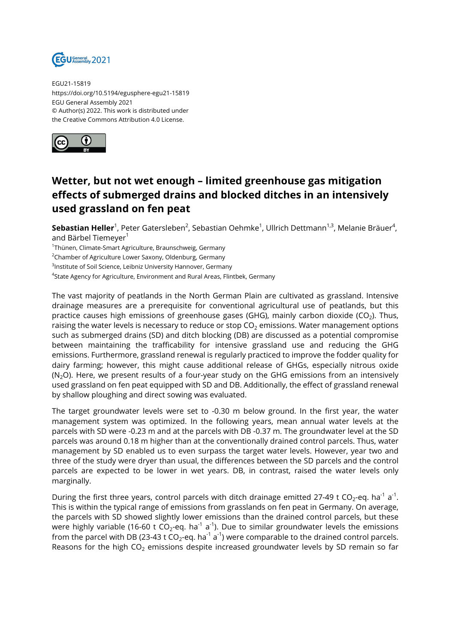

EGU21-15819 https://doi.org/10.5194/egusphere-egu21-15819 EGU General Assembly 2021 © Author(s) 2022. This work is distributed under the Creative Commons Attribution 4.0 License.



## **Wetter, but not wet enough – limited greenhouse gas mitigation effects of submerged drains and blocked ditches in an intensively used grassland on fen peat**

**Sebastian Heller<sup>1</sup>,** Peter Gatersleben<sup>2</sup>, Sebastian Oehmke<sup>1</sup>, Ullrich Dettmann<sup>1,3</sup>, Melanie Bräuer<sup>4</sup>, and Bärbel Tiemeyer<sup>1</sup>

<sup>1</sup>Thünen, Climate-Smart Agriculture, Braunschweig, Germany

<sup>2</sup>Chamber of Agriculture Lower Saxony, Oldenburg, Germany

 $^3$ Institute of Soil Science, Leibniz University Hannover, Germany

 $^4$ State Agency for Agriculture, Environment and Rural Areas, Flintbek, Germany

The vast majority of peatlands in the North German Plain are cultivated as grassland. Intensive drainage measures are a prerequisite for conventional agricultural use of peatlands, but this practice causes high emissions of greenhouse gases (GHG), mainly carbon dioxide (CO<sub>2</sub>). Thus, raising the water levels is necessary to reduce or stop  $CO<sub>2</sub>$  emissions. Water management options such as submerged drains (SD) and ditch blocking (DB) are discussed as a potential compromise between maintaining the trafficability for intensive grassland use and reducing the GHG emissions. Furthermore, grassland renewal is regularly practiced to improve the fodder quality for dairy farming; however, this might cause additional release of GHGs, especially nitrous oxide  $(N<sub>2</sub>O)$ . Here, we present results of a four-year study on the GHG emissions from an intensively used grassland on fen peat equipped with SD and DB. Additionally, the effect of grassland renewal by shallow ploughing and direct sowing was evaluated.

The target groundwater levels were set to -0.30 m below ground. In the first year, the water management system was optimized. In the following years, mean annual water levels at the parcels with SD were -0.23 m and at the parcels with DB -0.37 m. The groundwater level at the SD parcels was around 0.18 m higher than at the conventionally drained control parcels. Thus, water management by SD enabled us to even surpass the target water levels. However, year two and three of the study were dryer than usual, the differences between the SD parcels and the control parcels are expected to be lower in wet years. DB, in contrast, raised the water levels only marginally.

During the first three years, control parcels with ditch drainage emitted 27-49 t CO<sub>2</sub>-eq. ha<sup>-1</sup> a<sup>-1</sup>. This is within the typical range of emissions from grasslands on fen peat in Germany. On average, the parcels with SD showed slightly lower emissions than the drained control parcels, but these were highly variable (16-60 t CO<sub>2</sub>-eq. ha $^{\text{-1}}$  a $^{\text{-1}}$ ). Due to similar groundwater levels the emissions from the parcel with DB (23-43 t CO $_2$ -eq. ha $^{\text{-1}}$  a $^{\text{-1}}$ ) were comparable to the drained control parcels. Reasons for the high  $CO<sub>2</sub>$  emissions despite increased groundwater levels by SD remain so far